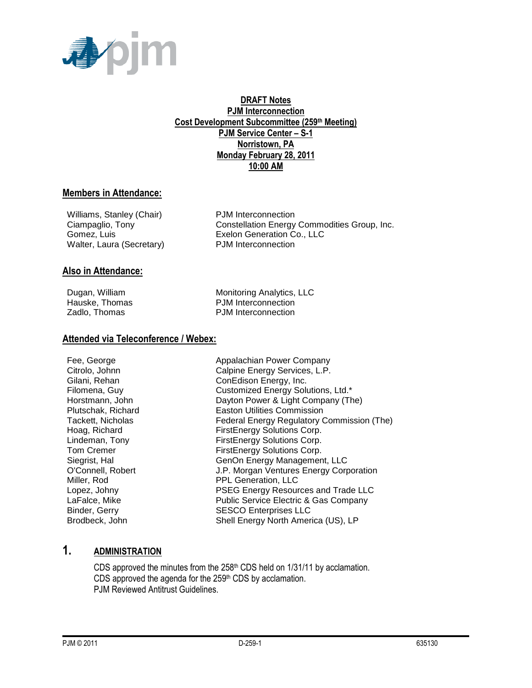

#### **DRAFT Notes PJM Interconnection Cost Development Subcommittee (259th Meeting) PJM Service Center – S-1 Norristown, PA Monday February 28, 2011 10:00 AM**

#### **Members in Attendance:**

Williams, Stanley (Chair) PJM Interconnection Walter, Laura (Secretary)

Ciampaglio, Tony Constellation Energy Commodities Group, Inc. Gomez, Luis **Exelon Generation Co., LLC**<br>
Walter. Laura (Secretary) **EXEL** PJM Interconnection

#### **Also in Attendance:**

Dugan, William Monitoring Analytics, LLC<br>
Hauske. Thomas Monitoring Analytics, LLC<br>
Hauske. Thomas Monitoring PJM Interconnection PJM Interconnection Zadlo, Thomas **PJM** Interconnection

#### **Attended via Teleconference / Webex:**

Fee, George **Appalachian Power Company** Citrolo, Johnn Calpine Energy Services, L.P. Gilani, Rehan ConEdison Energy, Inc. Filomena, Guy **Customized Energy Solutions, Ltd.\*** Horstmann, John Dayton Power & Light Company (The) Plutschak, Richard Easton Utilities Commission Tackett, Nicholas **Federal Energy Regulatory Commission (The)** Hoag, Richard **FirstEnergy Solutions Corp.** Lindeman, Tony **FirstEnergy Solutions Corp.** Tom Cremer Tom Cremer FirstEnergy Solutions Corp. Siegrist, Hal GenOn Energy Management, LLC O'Connell, Robert J.P. Morgan Ventures Energy Corporation Miller, Rod **PPL Generation, LLC** Lopez, Johny PSEG Energy Resources and Trade LLC LaFalce, Mike **Public Service Electric & Gas Company** Binder, Gerry SESCO Enterprises LLC Brodbeck, John Shell Energy North America (US), LP

## **1. ADMINISTRATION**

CDS approved the minutes from the 258<sup>th</sup> CDS held on 1/31/11 by acclamation. CDS approved the agenda for the  $259<sup>th</sup>$  CDS by acclamation. PJM Reviewed Antitrust Guidelines.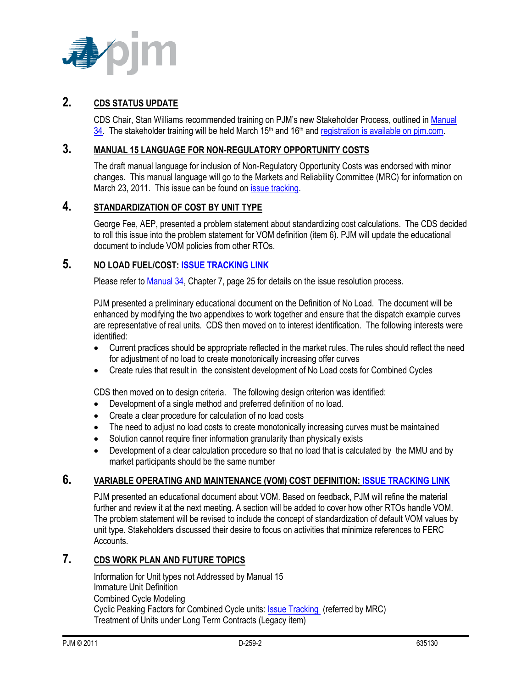

# **2. CDS STATUS UPDATE**

CDS Chair, Stan Williams recommended training on PJM's new Stakeholder Process, outlined in [Manual](http://www.pjm.com/~/media/documents/manuals/m34.ashx)   $34.$  The stakeholder training will be held March 15<sup>th</sup> and 16<sup>th</sup> and registration is available on pim.com.

### **3. MANUAL 15 LANGUAGE FOR NON-REGULATORY OPPORTUNITY COSTS**

The draft manual language for inclusion of Non-Regulatory Opportunity Costs was endorsed with minor changes. This manual language will go to the Markets and Reliability Committee (MRC) for information on March 23, 2011. This issue can be found on *issue tracking*.

## **4. STANDARDIZATION OF COST BY UNIT TYPE**

George Fee, AEP, presented a problem statement about standardizing cost calculations. The CDS decided to roll this issue into the problem statement for VOM definition (item 6). PJM will update the educational document to include VOM policies from other RTOs.

## **5. NO LOAD FUEL/COST[: ISSUE TRACKING LINK](http://www.pjm.com/committees-and-groups/issue-tracking/issue-tracking-details.aspx?Issue=%7bB4390F49-FB83-4790-B1E7-89EF1844E073%7d)**

Please refer to **Manual 34**, Chapter 7, page 25 for details on the issue resolution process.

PJM presented a preliminary educational document on the Definition of No Load. The document will be enhanced by modifying the two appendixes to work together and ensure that the dispatch example curves are representative of real units. CDS then moved on to interest identification. The following interests were identified:

- Current practices should be appropriate reflected in the market rules. The rules should reflect the need for adjustment of no load to create monotonically increasing offer curves
- Create rules that result in the consistent development of No Load costs for Combined Cycles

CDS then moved on to design criteria. The following design criterion was identified:

- Development of a single method and preferred definition of no load.
- Create a clear procedure for calculation of no load costs
- The need to adjust no load costs to create monotonically increasing curves must be maintained
- Solution cannot require finer information granularity than physically exists
- Development of a clear calculation procedure so that no load that is calculated by the MMU and by market participants should be the same number

#### **6. VARIABLE OPERATING AND MAINTENANCE (VOM) COST DEFINITION: [ISSUE TRACKING LINK](http://www.pjm.com/committees-and-groups/issue-tracking/issue-tracking-details.aspx?Issue=%7b189C7210-9A23-4782-A5B5-634A6887CFE1%7d)**

PJM presented an educational document about VOM. Based on feedback, PJM will refine the material further and review it at the next meeting. A section will be added to cover how other RTOs handle VOM. The problem statement will be revised to include the concept of standardization of default VOM values by unit type. Stakeholders discussed their desire to focus on activities that minimize references to FERC Accounts.

## **7. CDS WORK PLAN AND FUTURE TOPICS**

Information for Unit types not Addressed by Manual 15 Immature Unit Definition Combined Cycle Modeling Cyclic Peaking Factors for Combined Cycle units: **Issue Tracking (referred by MRC)** Treatment of Units under Long Term Contracts (Legacy item)